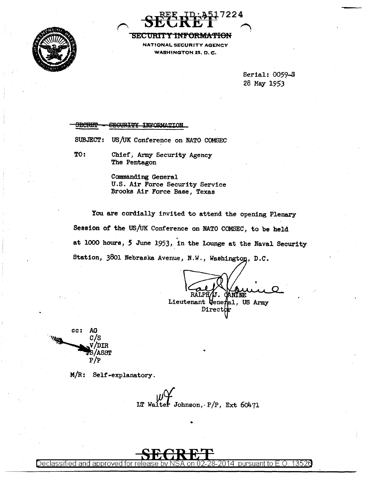



# SECURITY INFORMATION

WASHINGTON 25, D.C.

Serial: 0059-S 28 May 1953

#### SEGURITY INFORMATION **SECRET**

SUBJECT: US/UK Conference on NATO COMSEC

TO: Chief, Army Security Agency The Pentagon

> Commanding General U.S. Air Force Security Service Brooks Air Force Base, Texas

You are cordially invited to attend the opening Plenary Session of the US/uK Conference on NATO COMSEC, to be held . at 1000 hours, S June 1953, in the Lounge at the Naval Security Station, 3801 Nebraska Avenue, N.W., Washington, D.C.

CANINE **RALPH** Lieutenant Veneral, US Army Director



M/R: Self-explanatory.

LT Walter Johnson,  $P/P$ , Ext 60471

..

..



Declassified and approved for release by NSA on 02-28-2014  $\,$  pursuant to E.O. 1352 $6$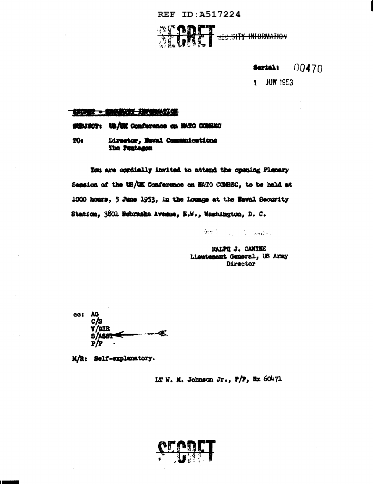REF ID: A517224

**SECONTY INFORMATION** 

Serial:  $00470$ 

1 JUN 1953

#### SKOR - SKORIST INTENATIO

#### SUBJECT: UB/UK Conference on HATO CONSEC

#### Director, Neval Communications TO: The Peatsmen

You are cordially invited to attend the opening Flenary Session of the US/UK Conference on HATO COMBEC, to be held at 1000 hours, 5 June 1953, in the Lounge at the Baval Security Station, 3801 Nebraska Avenue, N.W., Washington, D. C.

Graham and Compon

RALPH J. CANINE Lieutenent General, US Army Director

cc: AG **C/B V/LIR**  $-1$ 

M/R: Self-explanatory.

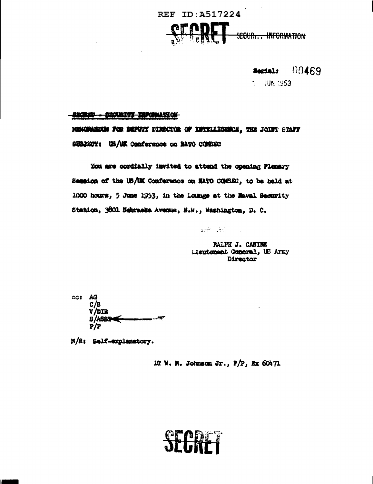

Serial:  $00469$ 

 $1$  JUN 1953

## **SECRIT - SECRITY TERMINATION**

MEMORAEURA FOR DEPUTY DIRECTOR OF INTELLIGENCE, THE JOINT STAFF SUBJECT: US/UK Conference on BATO COMBEC

You are cordially invited to attend the opening Plenary Session of the US/UK Conference on NATO COSSC, to be held at 1000 hours, 5 June 1953, in the Loungs at the Naval Security Station, 3001 Nebraska Avenue, N.W., Washington, D. C.

後者 きたいしょうしん

RALPH J. CANINE Lieutement Cemeral, US Army Director

cas AG  $C/B$ V/DIR  $8/AB82$  $\dot{P}/P$ 

M/R: Self-explanatory.

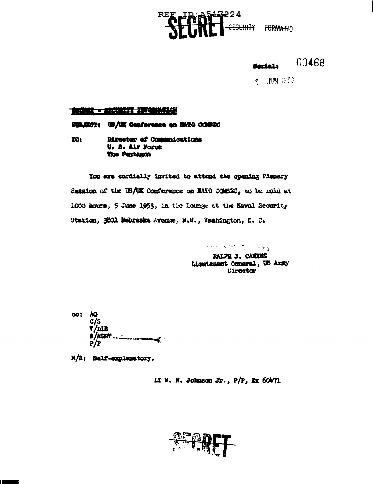**D. A 5442224**<br>**A THE T**-SEGURITY FORMATIO  $\mathtt{REF}$  .

00468 Serial:

 $\sim 100$  1953

#### ARCHAY - BROUNSY SHOWAGE

#### SUBJECT: US/UK Conference on HATC COMBIC

**YOt** Director of Communications U. S. Air Forse The Pentagon

You are cordially invited to attend the opening Plenary Session of the US/UK Conference on MATO COMBEC, to be held at 1000 hours, 5 June 1953, in the Lounge at the Naval Security Station, 3801 Webraska Avenue, N.W., Washington, D. C.

> when Point J. Judga RALPH J. CANING **Lieutenant General, US Arzy** Director

cc1 AG  $c/s$ **Y/DIR S/ASST** -∢\*  $P/P$ 

M/R: Self-explanatory.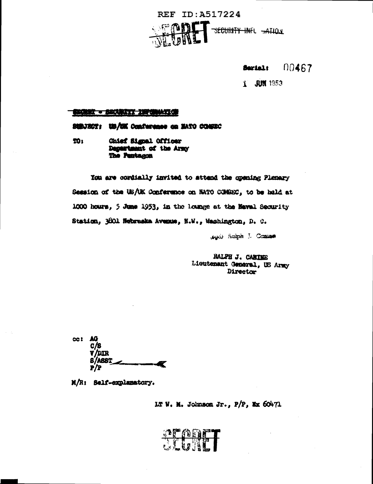

00467 Serial:

1 JUN 1953

#### **BELIEVE - BELLEZZZ ZEPOBAZZO**

SUBJECT: US/UK Conference on MATO CONSEC

**201** Chief Signal Officer Department of the Army The Pentagon

You are cordially invited to attend the opening Planary Session of the US/UK Conference on NATO COMBEC, to be hald at 1000 hours, 5 June 1953, in the loange at the Naval Security Station, 3001 Nebraska Avenue, N.W., Washington, D. C.

suci) Raiph J. Canine

RALPH J. CANINE Lioutenant General, US Army Director

cc: AG C/S **V/DIR** r

M/R: Self-explanatory.

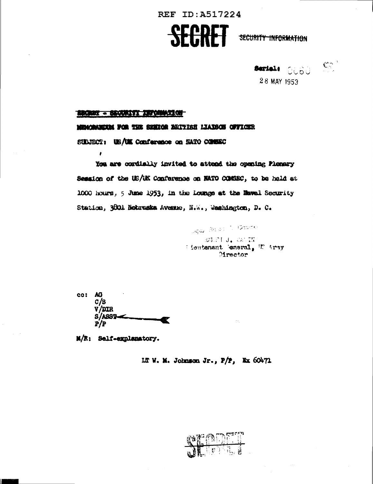

**Serial**: 0060 Seri

28 MAY 1953

### BROWN - ENGINEERY APPROXIMATION

 $\mathbf{r}$ 

#### MEMORATION FOR THE SHERCH BRITISH LIAISON OFFICER

SULUECT: US/UK Conference on SATO COMEC

You are cordially invited to attack the opening Plenary Session of the US/UK Conference on HATO COMMEC, to be hald at 1000 hours, 5 June 1953, in the Lounge at the Mawal Security Station, 3001 Nobraska Avenue, N.W., Washington, D. C.

> George Research Center **BANDE J. CALIN** Heutenant eneral, W Army Director

| cc: | AG.    |
|-----|--------|
|     | c/s    |
|     | V/DIR  |
|     | S/ABST |
|     | P/P    |

M/R: Self-explanatory.

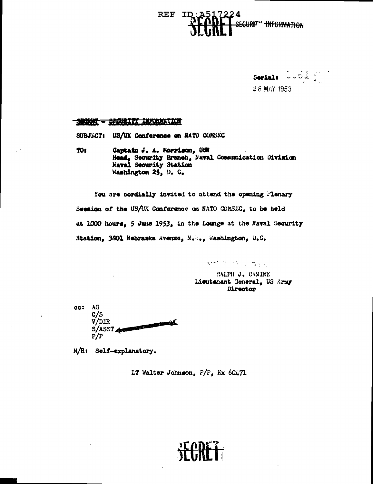# **REF** ID securi<sup>ty</sup> thformation



### SEGRET - BROURITY INFORMATION

SUBJECT: US/UK Conference on NATO COMSEC

TOt Captain J. A. Morrison, USN Head, Security Branch, Naval Communication Division Naval Security Station Washington 25, D. C.

You are cordially invited to attend the opening Plenary Session of the US/UK Conference on NATO COMSEC, to be held at 1000 hours, 5 June 1953, in the Lounge at the Haval Security Station, 3601 Nebraska Avenue, N.M., Washington, D.C.

**RELEASE THAN** 

RALPH J. CANINE Licutenant General, US Army Director

cc: AG  $c/s$ S/ASST A  $P/P$ 

M/R: Self-explanatory.

LT Walter Johnson,  $P/P$ , Ex 60471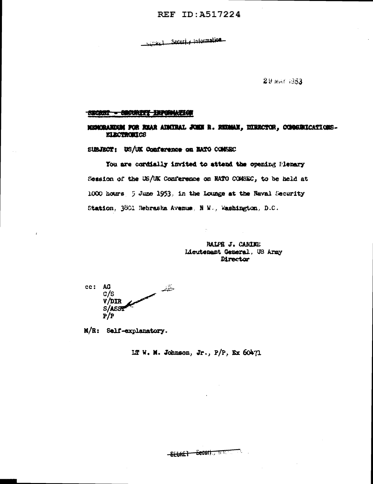## REF ID: A517224

Security Information

 $29$  MHT 1953

#### SECRET - SECRETT INFORMATION

MEDURAKOAN FOR REAR ADMIRAL JOHN R. REDNAN, DIRECTOR, OGMANICATIONS-**ELECTRONICS** 

SUBJECT: US/UK Conference on EATO COMSEC

You are cordially invited to attend the opening Plenary Session of the US/UK Conference on NATO COMSEC, to be held at 1000 hours 5 June 1953, in the Lounge at the Naval Security Station, 3801 Rebraska Avenue, N W., Washington, D.C.

> RALPH J. CANINE Lieutenant General., US Army Director

cc: AG خقصه  $c/s$  $V/DIR$ S/ASS  $P/P$ 

M/R: Self-explanatory.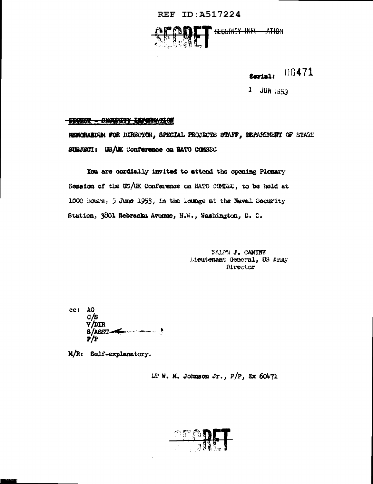# REF ID: A517224



#### 00471 **Serial:**

1 JUN 1953

#### COURSY - DECURITY INFORMATION

MEMORARDAM FOR DIRECTOR, SPECIAL PROJECTS STAFF, DEPARTMENT OF STATE SUBJECT: US/UK Conference on BATO CONSEC

You are cordially invited to attend the opening Plenary Session of the US/UK Conference on NATO CONSEC, to be hold at 1000 hours, 5 June 1953, in the Lounge at the Naval Security Station, 3001 Nebraska Avenue, N.W., Washington, D. C.

> **BALPE J. CANINE** Lieutenant General, US Army Director

cc: AG  $C/S$ **V/DIR S/ASST-C** ی ہے۔ تعصیص P/P

M/R: Self-explanatory.